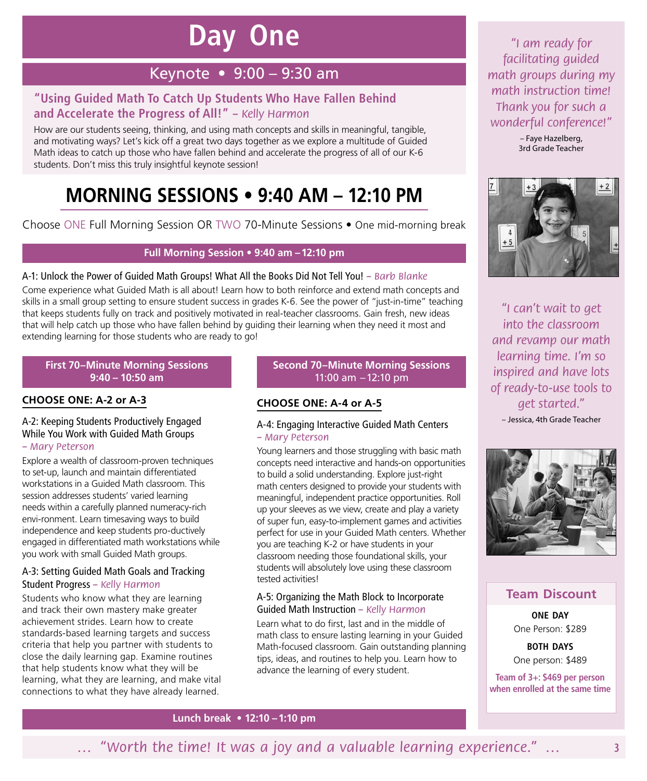# **Day One**

## Keynote • 9:00 – 9:30 am

## **"Using Guided Math To Catch Up Students Who Have Fallen Behind and Accelerate the Progress of All!"** *– Kelly Harmon*

How are our students seeing, thinking, and using math concepts and skills in meaningful, tangible, and motivating ways? Let's kick off a great two days together as we explore a multitude of Guided Math ideas to catch up those who have fallen behind and accelerate the progress of all of our K-6 students. Don't miss this truly insightful keynote session!

# **MORNING SESSIONS • 9:40 AM – 12:10 PM**

Choose ONE Full Morning Session OR TWO 70-Minute Sessions • One mid-morning break

#### **Full Morning Session • 9:40 am –12:10 pm**

#### A‑1: Unlock the Power of Guided Math Groups! What All the Books Did Not Tell You! *– Barb Blanke*

Come experience what Guided Math is all about! Learn how to both reinforce and extend math concepts and skills in a small group setting to ensure student success in grades K-6. See the power of "just-in-time" teaching that keeps students fully on track and positively motivated in real-teacher classrooms. Gain fresh, new ideas that will help catch up those who have fallen behind by guiding their learning when they need it most and extending learning for those students who are ready to go!

#### **First 70–Minute Morning Sessions 9:40 – 10:50 am**

#### **CHOOSE ONE: A‑2 or A‑3**

## A‑2: Keeping Students Productively Engaged While You Work with Guided Math Groups

#### *– Mary Peterson*

Explore a wealth of classroom-proven techniques to set-up, launch and maintain differentiated workstations in a Guided Math classroom. This session addresses students' varied learning needs within a carefully planned numeracy-rich envi-ronment. Learn timesaving ways to build independence and keep students pro-ductively engaged in differentiated math workstations while you work with small Guided Math groups.

#### A‑3: Setting Guided Math Goals and Tracking Student Progress *– Kelly Harmon*

Students who know what they are learning and track their own mastery make greater achievement strides. Learn how to create standards-based learning targets and success criteria that help you partner with students to close the daily learning gap. Examine routines that help students know what they will be learning, what they are learning, and make vital connections to what they have already learned.

#### **Second 70–Minute Morning Sessions** 11:00 am –12:10 pm

### **CHOOSE ONE: A‑4 or A‑5**

#### A‑4: Engaging Interactive Guided Math Centers *– Mary Peterson*

Young learners and those struggling with basic math concepts need interactive and hands-on opportunities to build a solid understanding. Explore just-right math centers designed to provide your students with meaningful, independent practice opportunities. Roll up your sleeves as we view, create and play a variety of super fun, easy-to-implement games and activities perfect for use in your Guided Math centers. Whether you are teaching K-2 or have students in your classroom needing those foundational skills, your students will absolutely love using these classroom tested activities!

#### A‑5: Organizing the Math Block to Incorporate Guided Math Instruction *– Kelly Harmon*

Learn what to do first, last and in the middle of math class to ensure lasting learning in your Guided Math-focused classroom. Gain outstanding planning tips, ideas, and routines to help you. Learn how to advance the learning of every student.

**Lunch break • 12:10 –1:10 pm**

*"I am ready for facilitating guided math groups during my math instruction time! Thank you for such a wonderful conference!"*

– Faye Hazelberg, 3rd Grade Teacher



*"I can't wait to get into the classroom and revamp our math learning time. I'm so inspired and have lots of ready-to-use tools to get started."*

– Jessica, 4th Grade Teacher



### **Team Discount**

**ONE DAY** One Person: \$289

**BOTH DAYS** One person: \$489

**Team of 3+: \$469 per person when enrolled at the same time**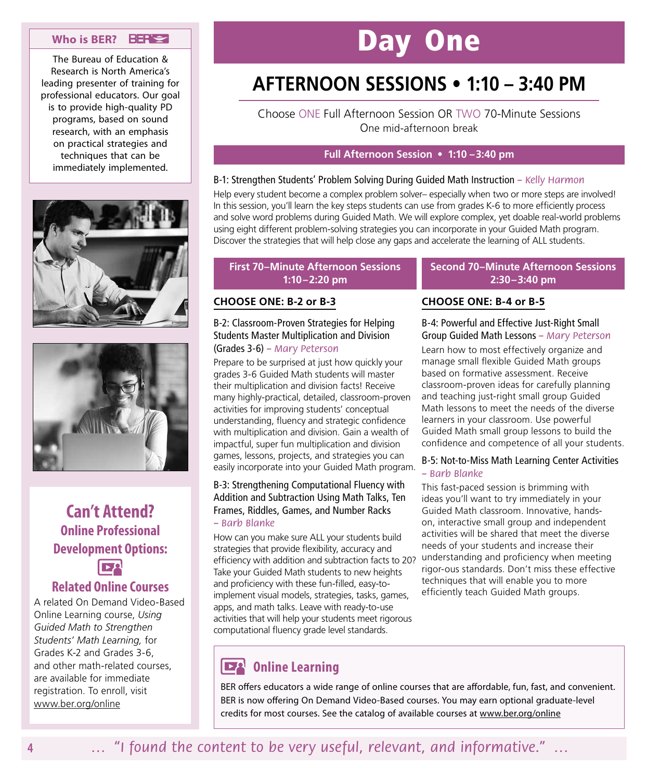#### **Who is BER?**

The Bureau of Education & Research is North America's leading presenter of training for professional educators. Our goal is to provide high-quality PD programs, based on sound research, with an emphasis on practical strategies and techniques that can be immediately implemented.





# **Can't Attend? Online Professional Development Options:**

### **Related Online Courses**

A related On Demand Video-Based Online Learning course, *Using Guided Math to Strengthen Students' Math Learning,* for Grades K-2 and Grades 3-6, and other math-related courses, are available for immediate registration. To enroll, visit www.ber.org/online

# Day One

# **AFTERNOON SESSIONS • 1:10 – 3:40 PM**

Choose ONE Full Afternoon Session OR TWO 70-Minute Sessions One mid-afternoon break

#### **Full Afternoon Session • 1:10 –3:40 pm**

#### B‑1: Strengthen Students' Problem Solving During Guided Math Instruction *– Kelly Harmon*

Help every student become a complex problem solver– especially when two or more steps are involved! In this session, you'll learn the key steps students can use from grades K-6 to more efficiently process and solve word problems during Guided Math. We will explore complex, yet doable real-world problems using eight different problem-solving strategies you can incorporate in your Guided Math program. Discover the strategies that will help close any gaps and accelerate the learning of ALL students.

#### **First 70–Minute Afternoon Sessions 1:10–2:20 pm**

#### **CHOOSE ONE: B‑2 or B‑3**

#### B‑2: Classroom-Proven Strategies for Helping Students Master Multiplication and Division (Grades 3-6) *– Mary Peterson*

Prepare to be surprised at just how quickly your grades 3-6 Guided Math students will master their multiplication and division facts! Receive many highly-practical, detailed, classroom-proven activities for improving students' conceptual understanding, fluency and strategic confidence with multiplication and division. Gain a wealth of impactful, super fun multiplication and division games, lessons, projects, and strategies you can easily incorporate into your Guided Math program.

#### B‑3: Strengthening Computational Fluency with Addition and Subtraction Using Math Talks, Ten Frames, Riddles, Games, and Number Racks *– Barb Blanke*

How can you make sure ALL your students build strategies that provide flexibility, accuracy and efficiency with addition and subtraction facts to 20? Take your Guided Math students to new heights and proficiency with these fun-filled, easy-toimplement visual models, strategies, tasks, games, apps, and math talks. Leave with ready-to-use activities that will help your students meet rigorous computational fluency grade level standards.

## **DEA** Online Learning

BER offers educators a wide range of online courses that are affordable, fun, fast, and convenient. BER is now offering On Demand Video-Based courses. You may earn optional graduate-level credits for most courses. See the catalog of available courses at www.ber.org/online

**Second 70–Minute Afternoon Sessions 2:30–3:40 pm**

### **CHOOSE ONE: B‑4 or B‑5**

B‑4: Powerful and Effective Just-Right Small Group Guided Math Lessons *– Mary Peterson* Learn how to most effectively organize and manage small flexible Guided Math groups based on formative assessment. Receive classroom-proven ideas for carefully planning and teaching just-right small group Guided Math lessons to meet the needs of the diverse learners in your classroom. Use powerful Guided Math small group lessons to build the confidence and competence of all your students.

#### B‑5: Not-to-Miss Math Learning Center Activities *– Barb Blanke*

This fast-paced session is brimming with ideas you'll want to try immediately in your Guided Math classroom. Innovative, handson, interactive small group and independent activities will be shared that meet the diverse needs of your students and increase their understanding and proficiency when meeting rigor-ous standards. Don't miss these effective techniques that will enable you to more efficiently teach Guided Math groups.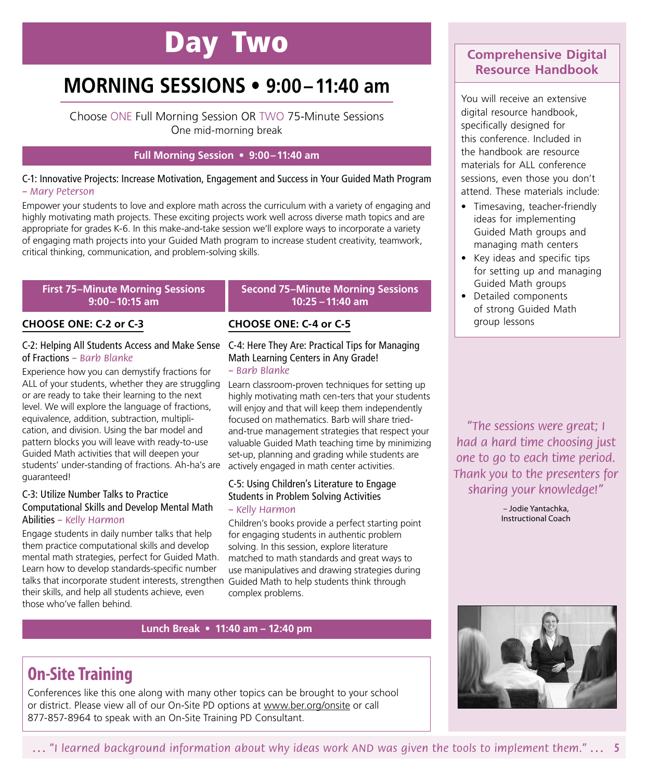# Day Two

# **MORNING SESSIONS • 9:00–11:40 am**

Choose ONE Full Morning Session OR TWO 75-Minute Sessions One mid-morning break

#### **Full Morning Session • 9:00–11:40 am**

#### C‑1: Innovative Projects: Increase Motivation, Engagement and Success in Your Guided Math Program *– Mary Peterson*

Empower your students to love and explore math across the curriculum with a variety of engaging and highly motivating math projects. These exciting projects work well across diverse math topics and are appropriate for grades K-6. In this make-and-take session we'll explore ways to incorporate a variety of engaging math projects into your Guided Math program to increase student creativity, teamwork, critical thinking, communication, and problem-solving skills.

#### **First 75–Minute Morning Sessions 9:00–10:15 am**

#### **CHOOSE ONE: C‑2 or C‑3**

#### C‑2: Helping All Students Access and Make Sense C‑4: Here They Are: Practical Tips for Managing of Fractions *– Barb Blanke*

Experience how you can demystify fractions for or are ready to take their learning to the next level. We will explore the language of fractions, equivalence, addition, subtraction, multiplication, and division. Using the bar model and pattern blocks you will leave with ready-to-use Guided Math activities that will deepen your students' under-standing of fractions. Ah-ha's are guaranteed!

#### C‑3: Utilize Number Talks to Practice Computational Skills and Develop Mental Math Abilities *– Kelly Harmon*

Engage students in daily number talks that help them practice computational skills and develop mental math strategies, perfect for Guided Math. Learn how to develop standards-specific number talks that incorporate student interests, strengthen Guided Math to help students think through their skills, and help all students achieve, even those who've fallen behind.

#### **Second 75–Minute Morning Sessions 10:25 –11:40 am**

### **CHOOSE ONE: C‑4 or C‑5**

# Math Learning Centers in Any Grade!

#### *– Barb Blanke*

ALL of your students, whether they are struggling Learn classroom-proven techniques for setting up highly motivating math cen-ters that your students will enjoy and that will keep them independently focused on mathematics. Barb will share triedand-true management strategies that respect your valuable Guided Math teaching time by minimizing set-up, planning and grading while students are actively engaged in math center activities.

### C‑5: Using Children's Literature to Engage Students in Problem Solving Activities

#### *– Kelly Harmon*

Children's books provide a perfect starting point for engaging students in authentic problem solving. In this session, explore literature matched to math standards and great ways to use manipulatives and drawing strategies during complex problems.

#### **Lunch Break • 11:40 am – 12:40 pm**

## **Comprehensive Digital Resource Handbook**

You will receive an extensive digital resource handbook, specifically designed for this conference. Included in the handbook are resource materials for ALL conference sessions, even those you don't attend. These materials include:

- Timesaving, teacher-friendly ideas for implementing Guided Math groups and managing math centers
- Key ideas and specific tips for setting up and managing Guided Math groups
- Detailed components of strong Guided Math group lessons

*"The sessions were great; I had a hard time choosing just one to go to each time period. Thank you to the presenters for sharing your knowledge!"*

> – Jodie Yantachka, Instructional Coach



# **On‑Site Training**

Conferences like this one along with many other topics can be brought to your school or district. Please view all of our On-Site PD options at www.ber.org/onsite or call 877-857-8964 to speak with an On-Site Training PD Consultant.